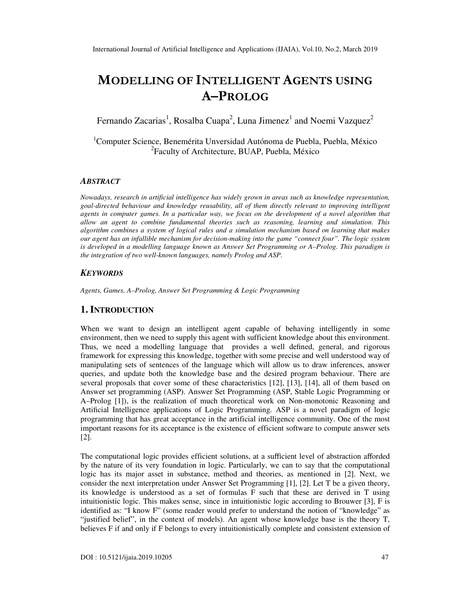# **MODELLING OF INTELLIGENT AGENTS USING A–PROLOG**

Fernando Zacarias<sup>1</sup>, Rosalba Cuapa<sup>2</sup>, Luna Jimenez<sup>1</sup> and Noemi Vazquez<sup>2</sup>

<sup>1</sup>Computer Science, Benemérita Unversidad Autónoma de Puebla, Puebla, México 2 Faculty of Architecture, BUAP, Puebla, México

#### *ABSTRACT*

*Nowadays, research in artificial intelligence has widely grown in areas such as knowledge representation, goal-directed behaviour and knowledge reusability, all of them directly relevant to improving intelligent agents in computer games. In a particular way, we focus on the development of a novel algorithm that allow an agent to combine fundamental theories such as reasoning, learning and simulation. This algorithm combines a system of logical rules and a simulation mechanism based on learning that makes our agent has an infallible mechanism for decision-making into the game "connect four". The logic system is developed in a modelling language known as Answer Set Programming or A–Prolog. This paradigm is the integration of two well-known languages, namely Prolog and ASP.* 

#### *KEYWORDS*

*Agents, Games, A–Prolog, Answer Set Programming & Logic Programming* 

## **1. INTRODUCTION**

When we want to design an intelligent agent capable of behaving intelligently in some environment, then we need to supply this agent with sufficient knowledge about this environment. Thus, we need a modelling language that provides a well defined, general, and rigorous framework for expressing this knowledge, together with some precise and well understood way of manipulating sets of sentences of the language which will allow us to draw inferences, answer queries, and update both the knowledge base and the desired program behaviour. There are several proposals that cover some of these characteristics [12], [13], [14], all of them based on Answer set programming (ASP). Answer Set Programming (ASP, Stable Logic Programming or A–Prolog [1]), is the realization of much theoretical work on Non-monotonic Reasoning and Artificial Intelligence applications of Logic Programming. ASP is a novel paradigm of logic programming that has great acceptance in the artificial intelligence community. One of the most important reasons for its acceptance is the existence of efficient software to compute answer sets [2].

The computational logic provides efficient solutions, at a sufficient level of abstraction afforded by the nature of its very foundation in logic. Particularly, we can to say that the computational logic has its major asset in substance, method and theories, as mentioned in [2]. Next, we consider the next interpretation under Answer Set Programming [1], [2]. Let T be a given theory, its knowledge is understood as a set of formulas F such that these are derived in T using intuitionistic logic. This makes sense, since in intuitionistic logic according to Brouwer [3], F is identified as: "I know F" (some reader would prefer to understand the notion of "knowledge" as "justified belief", in the context of models). An agent whose knowledge base is the theory T, believes F if and only if F belongs to every intuitionistically complete and consistent extension of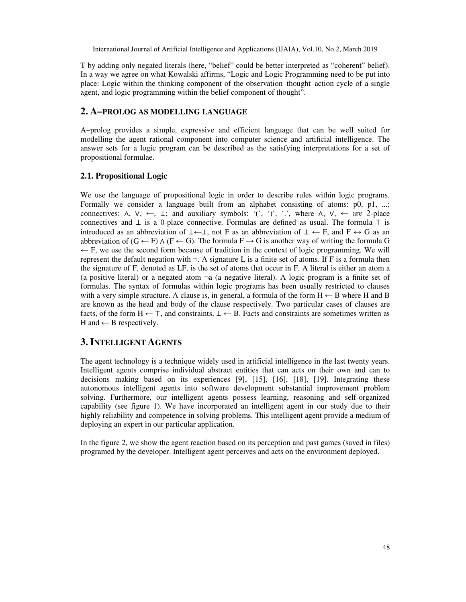T by adding only negated literals (here, "belief" could be better interpreted as "coherent" belief). In a way we agree on what Kowalski affirms, "Logic and Logic Programming need to be put into place: Logic within the thinking component of the observation–thought–action cycle of a single agent, and logic programming within the belief component of thought".

## **2. A–PROLOG AS MODELLING LANGUAGE**

A–prolog provides a simple, expressive and efficient language that can be well suited for modelling the agent rational component into computer science and artificial intelligence. The answer sets for a logic program can be described as the satisfying interpretations for a set of propositional formulae.

## **2.1. Propositional Logic**

We use the language of propositional logic in order to describe rules within logic programs. Formally we consider a language built from an alphabet consisting of atoms:  $p0$ ,  $p1$ , ...; connectives:  $\land$ ,  $\lor$ ,  $\leftarrow$ ,  $\bot$ ; and auxiliary symbols: '(', ')', '.', where  $\land$ ,  $\lor$ ,  $\leftarrow$  are 2-place connectives and ⊥ is a 0-place connective. Formulas are defined as usual. The formula ⊤ is introduced as an abbreviation of  $\perp \leftarrow \perp$ , not F as an abbreviation of  $\perp \leftarrow$  F, and F  $\leftrightarrow$  G as an abbreviation of  $(G \leftarrow F) \wedge (F \leftarrow G)$ . The formula  $F \rightarrow G$  is another way of writing the formula G  $\leftarrow$  F, we use the second form because of tradition in the context of logic programming. We will represent the default negation with  $\neg$ . A signature L is a finite set of atoms. If F is a formula then the signature of F, denoted as LF, is the set of atoms that occur in F. A literal is either an atom a (a positive literal) or a negated atom  $\neg a$  (a negative literal). A logic program is a finite set of formulas. The syntax of formulas within logic programs has been usually restricted to clauses with a very simple structure. A clause is, in general, a formula of the form  $H \leftarrow B$  where H and B are known as the head and body of the clause respectively. Two particular cases of clauses are facts, of the form H  $\leftarrow$  T, and constraints,  $\perp \leftarrow$  B. Facts and constraints are sometimes written as  $H$  and  $\leftarrow$  B respectively.

## **3. INTELLIGENT AGENTS**

The agent technology is a technique widely used in artificial intelligence in the last twenty years. Intelligent agents comprise individual abstract entities that can acts on their own and can to decisions making based on its experiences [9], [15], [16], [18], [19]. Integrating these autonomous intelligent agents into software development substantial improvement problem solving. Furthermore, our intelligent agents possess learning, reasoning and self-organized capability (see figure 1). We have incorporated an intelligent agent in our study due to their highly reliability and competence in solving problems. This intelligent agent provide a medium of deploying an expert in our particular application.

In the figure 2, we show the agent reaction based on its perception and past games (saved in files) programed by the developer. Intelligent agent perceives and acts on the environment deployed.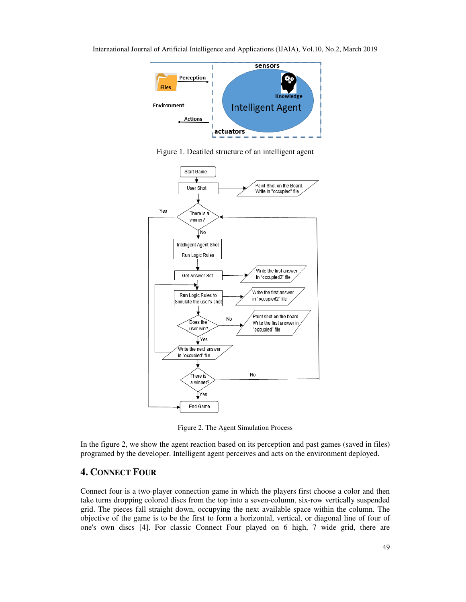



Figure 1. Deatiled structure of an intelligent agent



Figure 2. The Agent Simulation Process

In the figure 2, we show the agent reaction based on its perception and past games (saved in files) programed by the developer. Intelligent agent perceives and acts on the environment deployed.

# **4. CONNECT FOUR**

Connect four is a two-player connection game in which the players first choose a color and then take turns dropping colored discs from the top into a seven-column, six-row vertically suspended grid. The pieces fall straight down, occupying the next available space within the column. The objective of the game is to be the first to form a horizontal, vertical, or diagonal line of four of one's own discs [4]. For classic Connect Four played on 6 high, 7 wide grid, there are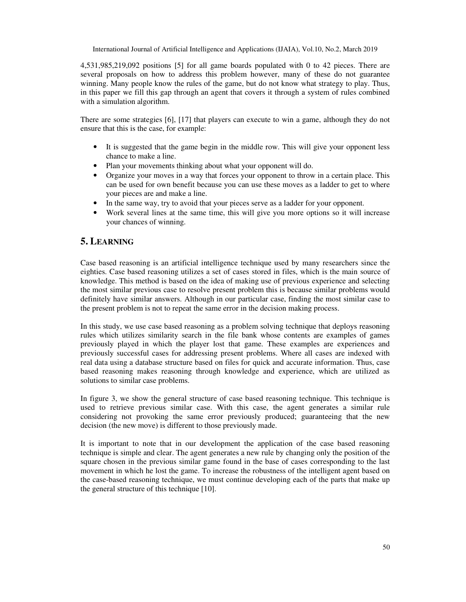4,531,985,219,092 positions [5] for all game boards populated with 0 to 42 pieces. There are several proposals on how to address this problem however, many of these do not guarantee winning. Many people know the rules of the game, but do not know what strategy to play. Thus, in this paper we fill this gap through an agent that covers it through a system of rules combined with a simulation algorithm.

There are some strategies [6], [17] that players can execute to win a game, although they do not ensure that this is the case, for example:

- It is suggested that the game begin in the middle row. This will give your opponent less chance to make a line.
- Plan your movements thinking about what your opponent will do.
- Organize your moves in a way that forces your opponent to throw in a certain place. This can be used for own benefit because you can use these moves as a ladder to get to where your pieces are and make a line.
- In the same way, try to avoid that your pieces serve as a ladder for your opponent.
- Work several lines at the same time, this will give you more options so it will increase your chances of winning.

# **5. LEARNING**

Case based reasoning is an artificial intelligence technique used by many researchers since the eighties. Case based reasoning utilizes a set of cases stored in files, which is the main source of knowledge. This method is based on the idea of making use of previous experience and selecting the most similar previous case to resolve present problem this is because similar problems would definitely have similar answers. Although in our particular case, finding the most similar case to the present problem is not to repeat the same error in the decision making process.

In this study, we use case based reasoning as a problem solving technique that deploys reasoning rules which utilizes similarity search in the file bank whose contents are examples of games previously played in which the player lost that game. These examples are experiences and previously successful cases for addressing present problems. Where all cases are indexed with real data using a database structure based on files for quick and accurate information. Thus, case based reasoning makes reasoning through knowledge and experience, which are utilized as solutions to similar case problems.

In figure 3, we show the general structure of case based reasoning technique. This technique is used to retrieve previous similar case. With this case, the agent generates a similar rule considering not provoking the same error previously produced; guaranteeing that the new decision (the new move) is different to those previously made.

It is important to note that in our development the application of the case based reasoning technique is simple and clear. The agent generates a new rule by changing only the position of the square chosen in the previous similar game found in the base of cases corresponding to the last movement in which he lost the game. To increase the robustness of the intelligent agent based on the case-based reasoning technique, we must continue developing each of the parts that make up the general structure of this technique [10].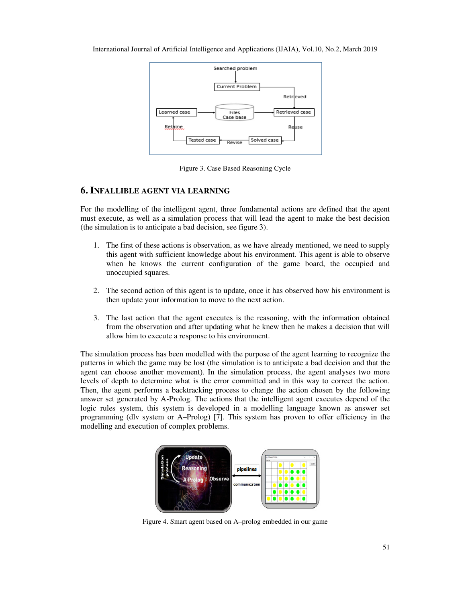

Figure 3. Case Based Reasoning Cycle

#### **6. INFALLIBLE AGENT VIA LEARNING**

For the modelling of the intelligent agent, three fundamental actions are defined that the agent must execute, as well as a simulation process that will lead the agent to make the best decision (the simulation is to anticipate a bad decision, see figure 3).

- 1. The first of these actions is observation, as we have already mentioned, we need to supply this agent with sufficient knowledge about his environment. This agent is able to observe when he knows the current configuration of the game board, the occupied and unoccupied squares.
- 2. The second action of this agent is to update, once it has observed how his environment is then update your information to move to the next action.
- 3. The last action that the agent executes is the reasoning, with the information obtained from the observation and after updating what he knew then he makes a decision that will allow him to execute a response to his environment.

The simulation process has been modelled with the purpose of the agent learning to recognize the patterns in which the game may be lost (the simulation is to anticipate a bad decision and that the agent can choose another movement). In the simulation process, the agent analyses two more levels of depth to determine what is the error committed and in this way to correct the action. Then, the agent performs a backtracking process to change the action chosen by the following answer set generated by A-Prolog. The actions that the intelligent agent executes depend of the logic rules system, this system is developed in a modelling language known as answer set programming (dlv system or A–Prolog) [7]. This system has proven to offer efficiency in the modelling and execution of complex problems.



Figure 4. Smart agent based on A–prolog embedded in our game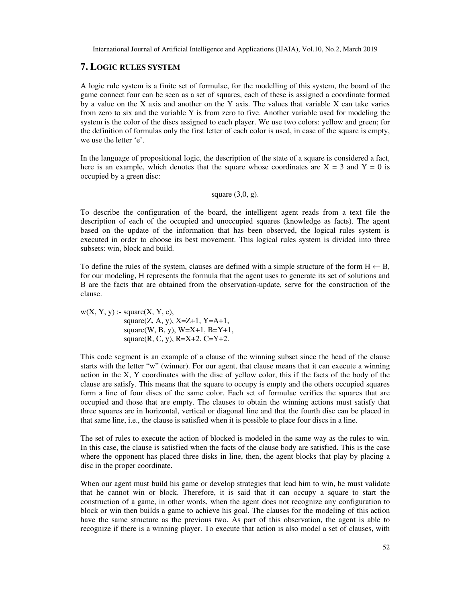## **7. LOGIC RULES SYSTEM**

A logic rule system is a finite set of formulae, for the modelling of this system, the board of the game connect four can be seen as a set of squares, each of these is assigned a coordinate formed by a value on the X axis and another on the Y axis. The values that variable X can take varies from zero to six and the variable Y is from zero to five. Another variable used for modeling the system is the color of the discs assigned to each player. We use two colors: yellow and green; for the definition of formulas only the first letter of each color is used, in case of the square is empty, we use the letter 'e'.

In the language of propositional logic, the description of the state of a square is considered a fact, here is an example, which denotes that the square whose coordinates are  $X = 3$  and  $Y = 0$  is occupied by a green disc:

### square  $(3,0, g)$ .

To describe the configuration of the board, the intelligent agent reads from a text file the description of each of the occupied and unoccupied squares (knowledge as facts). The agent based on the update of the information that has been observed, the logical rules system is executed in order to choose its best movement. This logical rules system is divided into three subsets: win, block and build.

To define the rules of the system, clauses are defined with a simple structure of the form  $H \leftarrow B$ , for our modeling, H represents the formula that the agent uses to generate its set of solutions and B are the facts that are obtained from the observation-update, serve for the construction of the clause.

 $w(X, Y, y)$  :- square $(X, Y, e)$ , square $(Z, A, y)$ ,  $X = Z + 1$ ,  $Y = A + 1$ , square(W, B, y),  $W=X+1$ ,  $B=Y+1$ , square $(R, C, y)$ , R=X+2. C=Y+2.

This code segment is an example of a clause of the winning subset since the head of the clause starts with the letter "w" (winner). For our agent, that clause means that it can execute a winning action in the X, Y coordinates with the disc of yellow color, this if the facts of the body of the clause are satisfy. This means that the square to occupy is empty and the others occupied squares form a line of four discs of the same color. Each set of formulae verifies the squares that are occupied and those that are empty. The clauses to obtain the winning actions must satisfy that three squares are in horizontal, vertical or diagonal line and that the fourth disc can be placed in that same line, i.e., the clause is satisfied when it is possible to place four discs in a line.

The set of rules to execute the action of blocked is modeled in the same way as the rules to win. In this case, the clause is satisfied when the facts of the clause body are satisfied. This is the case where the opponent has placed three disks in line, then, the agent blocks that play by placing a disc in the proper coordinate.

When our agent must build his game or develop strategies that lead him to win, he must validate that he cannot win or block. Therefore, it is said that it can occupy a square to start the construction of a game, in other words, when the agent does not recognize any configuration to block or win then builds a game to achieve his goal. The clauses for the modeling of this action have the same structure as the previous two. As part of this observation, the agent is able to recognize if there is a winning player. To execute that action is also model a set of clauses, with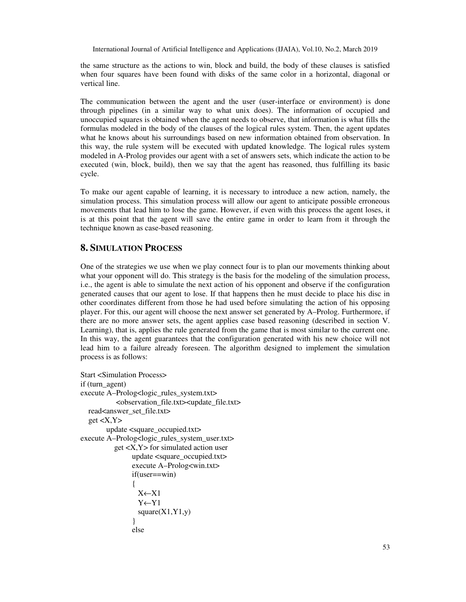the same structure as the actions to win, block and build, the body of these clauses is satisfied when four squares have been found with disks of the same color in a horizontal, diagonal or vertical line.

The communication between the agent and the user (user-interface or environment) is done through pipelines (in a similar way to what unix does). The information of occupied and unoccupied squares is obtained when the agent needs to observe, that information is what fills the formulas modeled in the body of the clauses of the logical rules system. Then, the agent updates what he knows about his surroundings based on new information obtained from observation. In this way, the rule system will be executed with updated knowledge. The logical rules system modeled in A-Prolog provides our agent with a set of answers sets, which indicate the action to be executed (win, block, build), then we say that the agent has reasoned, thus fulfilling its basic cycle.

To make our agent capable of learning, it is necessary to introduce a new action, namely, the simulation process. This simulation process will allow our agent to anticipate possible erroneous movements that lead him to lose the game. However, if even with this process the agent loses, it is at this point that the agent will save the entire game in order to learn from it through the technique known as case-based reasoning.

## **8. SIMULATION PROCESS**

One of the strategies we use when we play connect four is to plan our movements thinking about what your opponent will do. This strategy is the basis for the modeling of the simulation process, i.e., the agent is able to simulate the next action of his opponent and observe if the configuration generated causes that our agent to lose. If that happens then he must decide to place his disc in other coordinates different from those he had used before simulating the action of his opposing player. For this, our agent will choose the next answer set generated by A–Prolog. Furthermore, if there are no more answer sets, the agent applies case based reasoning (described in section V. Learning), that is, applies the rule generated from the game that is most similar to the current one. In this way, the agent guarantees that the configuration generated with his new choice will not lead him to a failure already foreseen. The algorithm designed to implement the simulation process is as follows:

```
Start <Simulation Process> 
if (turn_agent) 
execute A–Prolog<logic_rules_system.txt> 
           <observation_file.txt><update_file.txt> 
  read<answer_set_file.txt>
  get < X, Y> update <square_occupied.txt> 
execute A–Prolog<logic_rules_system_user.txt> 
          get <X,Y> for simulated action user 
                update <square_occupied.txt> 
                execute A–Prolog<win.txt> 
                if(user==win) 
\{ X←X1 
                 Y←Y1 
                square(X1,Y1,y) } 
                else
```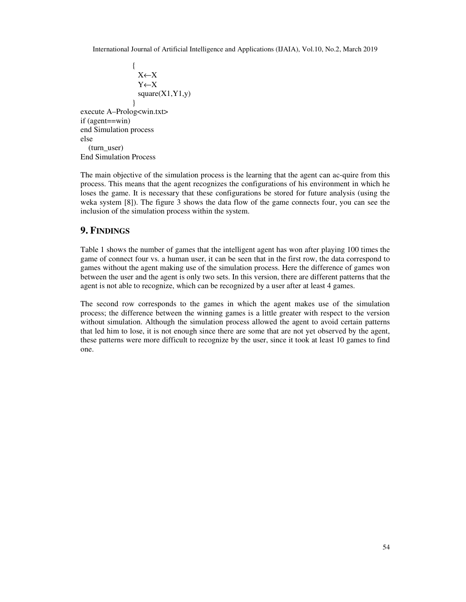$$
\{\begin{array}{c}\n\{X \leftarrow X \\
Y \leftarrow X \\
square(X1, Y1, y)\n\}\n\end{array}
$$
\n
$$
\{\begin{array}{c}\n\text{square}(X1, Y1, y)\n\end{array}
$$
\n
$$
\{\begin{array}{c}\n\text{square}(X1, Y1, y)\n\end{array}
$$
\n
$$
\{\begin{array}{c}\n\text{space} = \text{win}\} \\
\text{end Simulation process}\n\}
$$
\n
$$
\text{else } (\text{turn_user}) \\
\text{End Simulation Process}
$$

The main objective of the simulation process is the learning that the agent can ac-quire from this process. This means that the agent recognizes the configurations of his environment in which he loses the game. It is necessary that these configurations be stored for future analysis (using the weka system [8]). The figure 3 shows the data flow of the game connects four, you can see the inclusion of the simulation process within the system.

## **9. FINDINGS**

Table 1 shows the number of games that the intelligent agent has won after playing 100 times the game of connect four vs. a human user, it can be seen that in the first row, the data correspond to games without the agent making use of the simulation process. Here the difference of games won between the user and the agent is only two sets. In this version, there are different patterns that the agent is not able to recognize, which can be recognized by a user after at least 4 games.

The second row corresponds to the games in which the agent makes use of the simulation process; the difference between the winning games is a little greater with respect to the version without simulation. Although the simulation process allowed the agent to avoid certain patterns that led him to lose, it is not enough since there are some that are not yet observed by the agent, these patterns were more difficult to recognize by the user, since it took at least 10 games to find one.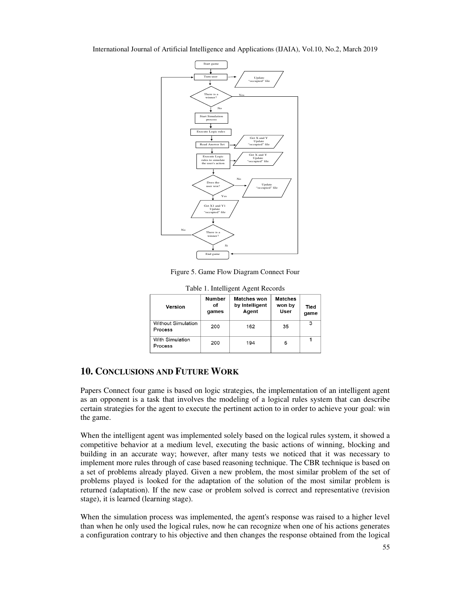

Figure 5. Game Flow Diagram Connect Four

| raone 1. Intemgent <i>i</i> igent recentis |                              |                                               |                                  |              |
|--------------------------------------------|------------------------------|-----------------------------------------------|----------------------------------|--------------|
| Version                                    | <b>Number</b><br>οf<br>qames | <b>Matches won</b><br>by Intelligent<br>Agent | <b>Matches</b><br>won by<br>User | Tied<br>game |
| Without Simulation<br>Process              | 200                          | 162                                           | 35                               | 3            |
| With Simulation<br>Process                 | 200                          | 194                                           | 5                                |              |

|  |  | Table 1. Intelligent Agent Records |
|--|--|------------------------------------|
|--|--|------------------------------------|

# **10. CONCLUSIONS AND FUTURE WORK**

Papers Connect four game is based on logic strategies, the implementation of an intelligent agent as an opponent is a task that involves the modeling of a logical rules system that can describe certain strategies for the agent to execute the pertinent action to in order to achieve your goal: win the game.

When the intelligent agent was implemented solely based on the logical rules system, it showed a competitive behavior at a medium level, executing the basic actions of winning, blocking and building in an accurate way; however, after many tests we noticed that it was necessary to implement more rules through of case based reasoning technique. The CBR technique is based on a set of problems already played. Given a new problem, the most similar problem of the set of problems played is looked for the adaptation of the solution of the most similar problem is returned (adaptation). If the new case or problem solved is correct and representative (revision stage), it is learned (learning stage).

When the simulation process was implemented, the agent's response was raised to a higher level than when he only used the logical rules, now he can recognize when one of his actions generates a configuration contrary to his objective and then changes the response obtained from the logical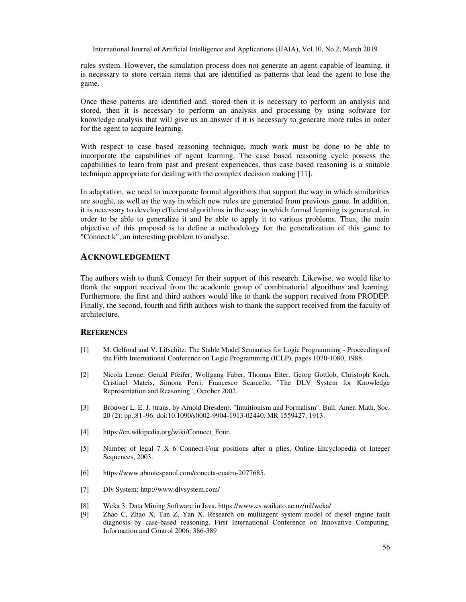rules system. However, the simulation process does not generate an agent capable of learning, it is necessary to store certain items that are identified as patterns that lead the agent to lose the game.

Once these patterns are identified and, stored then it is necessary to perform an analysis and stored, then it is necessary to perform an analysis and processing by using software for knowledge analysis that will give us an answer if it is necessary to generate more rules in order for the agent to acquire learning.

With respect to case based reasoning technique, much work must be done to be able to incorporate the capabilities of agent learning. The case based reasoning cycle possess the capabilities to learn from past and present experiences, thus case based reasoning is a suitable technique appropriate for dealing with the complex decision making [11].

In adaptation, we need to incorporate formal algorithms that support the way in which similarities are sought, as well as the way in which new rules are generated from previous game. In addition, it is necessary to develop efficient algorithms in the way in which formal learning is generated, in order to be able to generalize it and be able to apply it to various problems. Thus, the main objective of this proposal is to define a methodology for the generalization of this game to "Connect k", an interesting problem to analyse.

## **ACKNOWLEDGEMENT**

The authors wish to thank Conacyt for their support of this research. Likewise, we would like to thank the support received from the academic group of combinatorial algorithms and learning. Furthermore, the first and third authors would like to thank the support received from PRODEP. Finally, the second, fourth and fifth authors wish to thank the support received from the faculty of architecture.

#### **REFERENCES**

- [1] M. Gelfond and V. Lifschitz: The Stable Model Semantics for Logic Programming Proceedings of the Fifth International Conference on Logic Programming (ICLP), pages 1070-1080, 1988.
- [2] Nicola Leone, Gerald Pfeifer, Wolfgang Faber, Thomas Eiter, Georg Gottlob, Christoph Koch, Cristinel Mateis, Simona Perri, Francesco Scarcello. "The DLV System for Knowledge Representation and Reasoning", October 2002.
- [3] Brouwer L. E. J. (trans. by Arnold Dresden). "Intuitionism and Formalism". Bull. Amer. Math. Soc. 20 (2): pp.:81–96. doi:10.1090/s0002-9904-1913-02440. MR 1559427, 1913.
- [4] https://en.wikipedia.org/wiki/Connect\_Four.
- [5] Number of legal 7 X 6 Connect-Four positions after n plies, Online Encyclopedia of Integer Sequences, 2003.
- [6] https://www.aboutespanol.com/conecta-cuatro-2077685.
- [7] Dlv System: http://www.dlvsystem.com/
- [8] Weka 3: Data Mining Software in Java. https://www.cs.waikato.ac.nz/ml/weka/
- [9] Zhao C, Zhao X, Tan Z, Yan X. Research on multiagent system model of diesel engine fault diagnosis by case-based reasoning. First International Conference on Innovative Computing, Information and Control 2006; 386-389